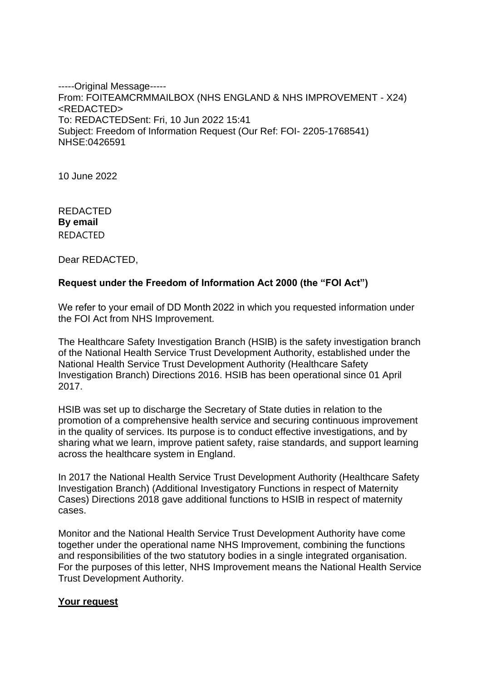-----Original Message----- From: FOITEAMCRMMAILBOX (NHS ENGLAND & NHS IMPROVEMENT - X24) <REDACTED> To: REDACTEDSent: Fri, 10 Jun 2022 15:41 Subject: Freedom of Information Request (Our Ref: FOI- 2205-1768541) NHSE:0426591

10 June 2022

REDACTED **By email** REDACTED

Dear REDACTED,

# **Request under the Freedom of Information Act 2000 (the "FOI Act")**

We refer to your email of DD Month 2022 in which you requested information under the FOI Act from NHS Improvement.

The Healthcare Safety Investigation Branch (HSIB) is the safety investigation branch of the National Health Service Trust Development Authority, established under the National Health Service Trust Development Authority (Healthcare Safety Investigation Branch) Directions 2016. HSIB has been operational since 01 April 2017.

HSIB was set up to discharge the Secretary of State duties in relation to the promotion of a comprehensive health service and securing continuous improvement in the quality of services. Its purpose is to conduct effective investigations, and by sharing what we learn, improve patient safety, raise standards, and support learning across the healthcare system in England.

In 2017 the National Health Service Trust Development Authority (Healthcare Safety Investigation Branch) (Additional Investigatory Functions in respect of Maternity Cases) Directions 2018 gave additional functions to HSIB in respect of maternity cases.

Monitor and the National Health Service Trust Development Authority have come together under the operational name NHS Improvement, combining the functions and responsibilities of the two statutory bodies in a single integrated organisation. For the purposes of this letter, NHS Improvement means the National Health Service Trust Development Authority.

### **Your request**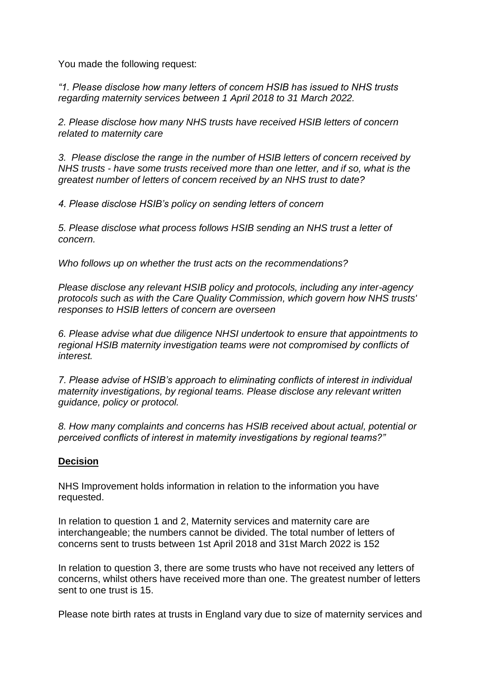You made the following request:

*"1. Please disclose how many letters of concern HSIB has issued to NHS trusts regarding maternity services between 1 April 2018 to 31 March 2022.*

*2. Please disclose how many NHS trusts have received HSIB letters of concern related to maternity care*

*3. Please disclose the range in the number of HSIB letters of concern received by NHS trusts - have some trusts received more than one letter, and if so, what is the greatest number of letters of concern received by an NHS trust to date?*

*4. Please disclose HSIB's policy on sending letters of concern*

*5. Please disclose what process follows HSIB sending an NHS trust a letter of concern.*

*Who follows up on whether the trust acts on the recommendations?*

*Please disclose any relevant HSIB policy and protocols, including any inter-agency protocols such as with the Care Quality Commission, which govern how NHS trusts' responses to HSIB letters of concern are overseen*

*6. Please advise what due diligence NHSI undertook to ensure that appointments to regional HSIB maternity investigation teams were not compromised by conflicts of interest.*

*7. Please advise of HSIB's approach to eliminating conflicts of interest in individual maternity investigations, by regional teams. Please disclose any relevant written guidance, policy or protocol.*

*8. How many complaints and concerns has HSIB received about actual, potential or perceived conflicts of interest in maternity investigations by regional teams?"*

## **Decision**

NHS Improvement holds information in relation to the information you have requested.

In relation to question 1 and 2, Maternity services and maternity care are interchangeable; the numbers cannot be divided. The total number of letters of concerns sent to trusts between 1st April 2018 and 31st March 2022 is 152

In relation to question 3, there are some trusts who have not received any letters of concerns, whilst others have received more than one. The greatest number of letters sent to one trust is 15.

Please note birth rates at trusts in England vary due to size of maternity services and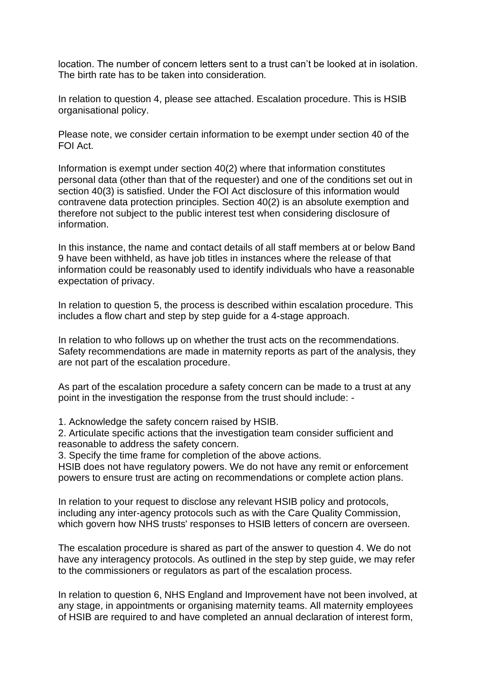location. The number of concern letters sent to a trust can't be looked at in isolation. The birth rate has to be taken into consideration.

In relation to question 4, please see attached. Escalation procedure. This is HSIB organisational policy.

Please note, we consider certain information to be exempt under section 40 of the FOI Act.

Information is exempt under section 40(2) where that information constitutes personal data (other than that of the requester) and one of the conditions set out in section 40(3) is satisfied. Under the FOI Act disclosure of this information would contravene data protection principles. Section 40(2) is an absolute exemption and therefore not subject to the public interest test when considering disclosure of information.

In this instance, the name and contact details of all staff members at or below Band 9 have been withheld, as have job titles in instances where the release of that information could be reasonably used to identify individuals who have a reasonable expectation of privacy.

In relation to question 5, the process is described within escalation procedure. This includes a flow chart and step by step guide for a 4-stage approach.

In relation to who follows up on whether the trust acts on the recommendations. Safety recommendations are made in maternity reports as part of the analysis, they are not part of the escalation procedure.

As part of the escalation procedure a safety concern can be made to a trust at any point in the investigation the response from the trust should include: -

1. Acknowledge the safety concern raised by HSIB.

2. Articulate specific actions that the investigation team consider sufficient and reasonable to address the safety concern.

3. Specify the time frame for completion of the above actions.

HSIB does not have regulatory powers. We do not have any remit or enforcement powers to ensure trust are acting on recommendations or complete action plans.

In relation to your request to disclose any relevant HSIB policy and protocols, including any inter-agency protocols such as with the Care Quality Commission, which govern how NHS trusts' responses to HSIB letters of concern are overseen.

The escalation procedure is shared as part of the answer to question 4. We do not have any interagency protocols. As outlined in the step by step guide, we may refer to the commissioners or regulators as part of the escalation process.

In relation to question 6, NHS England and Improvement have not been involved, at any stage, in appointments or organising maternity teams. All maternity employees of HSIB are required to and have completed an annual declaration of interest form,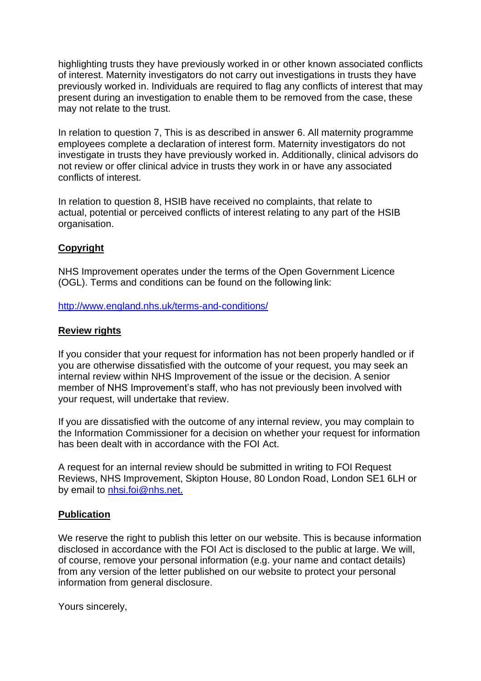highlighting trusts they have previously worked in or other known associated conflicts of interest. Maternity investigators do not carry out investigations in trusts they have previously worked in. Individuals are required to flag any conflicts of interest that may present during an investigation to enable them to be removed from the case, these may not relate to the trust.

In relation to question 7, This is as described in answer 6. All maternity programme employees complete a declaration of interest form. Maternity investigators do not investigate in trusts they have previously worked in. Additionally, clinical advisors do not review or offer clinical advice in trusts they work in or have any associated conflicts of interest.

In relation to question 8, HSIB have received no complaints, that relate to actual, potential or perceived conflicts of interest relating to any part of the HSIB organisation.

# **Copyright**

NHS Improvement operates under the terms of the Open Government Licence (OGL). Terms and conditions can be found on the following link:

<http://www.england.nhs.uk/terms-and-conditions/>

# **Review rights**

If you consider that your request for information has not been properly handled or if you are otherwise dissatisfied with the outcome of your request, you may seek an internal review within NHS Improvement of the issue or the decision. A senior member of NHS Improvement's staff, who has not previously been involved with your request, will undertake that review.

If you are dissatisfied with the outcome of any internal review, you may complain to the Information Commissioner for a decision on whether your request for information has been dealt with in accordance with the FOI Act.

A request for an internal review should be submitted in writing to FOI Request Reviews, NHS Improvement, Skipton House, 80 London Road, London SE1 6LH or by email to [nhsi.foi@nhs.net.](mailto:nhsi.foi@nhs.net)

## **Publication**

We reserve the right to publish this letter on our website. This is because information disclosed in accordance with the FOI Act is disclosed to the public at large. We will, of course, remove your personal information (e.g. your name and contact details) from any version of the letter published on our website to protect your personal information from general disclosure.

Yours sincerely,